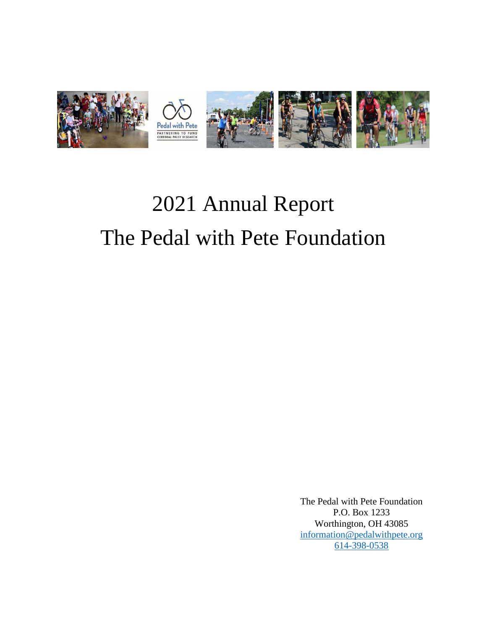

# 2021 Annual Report The Pedal with Pete Foundation

The Pedal with Pete Foundation P.O. Box 1233 Worthington, OH 43085 [information@pedalwithpete.org](mailto:information@pedalwithpete.org) [614-398-0538](tel:614-398-0538)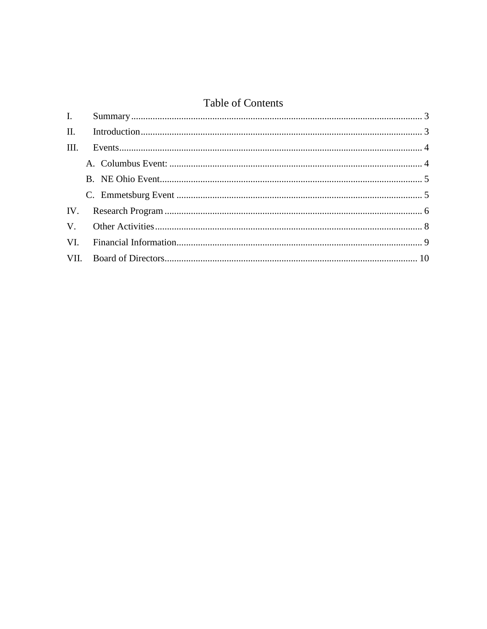# **Table of Contents**

| I.   |  |
|------|--|
|      |  |
| III. |  |
|      |  |
|      |  |
|      |  |
|      |  |
|      |  |
|      |  |
|      |  |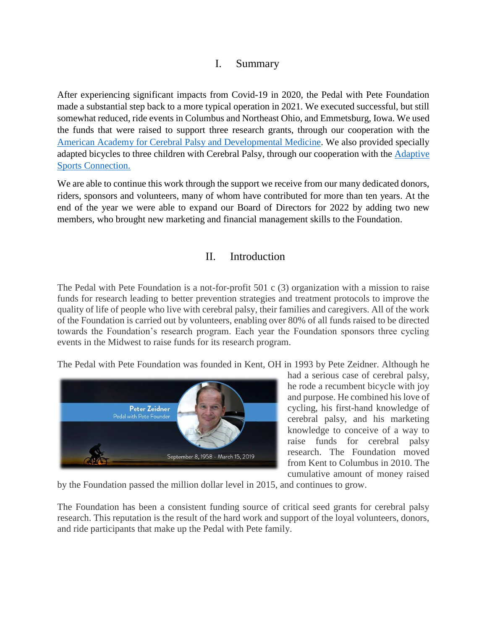#### I. Summary

<span id="page-2-0"></span>After experiencing significant impacts from Covid-19 in 2020, the Pedal with Pete Foundation made a substantial step back to a more typical operation in 2021. We executed successful, but still somewhat reduced, ride events in Columbus and Northeast Ohio, and Emmetsburg, Iowa. We used the funds that were raised to support three research grants, through our cooperation with the [American Academy for Cerebral Palsy and Developmental Medicine.](https://www.aacpdm.org/) We also provided specially adapted bicycles to three children with Cerebral Palsy, through our cooperation with the [Adaptive](https://adaptivesportsconnection.org/)  [Sports Connection.](https://adaptivesportsconnection.org/)

We are able to continue this work through the support we receive from our many dedicated donors, riders, sponsors and volunteers, many of whom have contributed for more than ten years. At the end of the year we were able to expand our Board of Directors for 2022 by adding two new members, who brought new marketing and financial management skills to the Foundation.

## II. Introduction

<span id="page-2-1"></span>The Pedal with Pete Foundation is a not-for-profit 501 c (3) organization with a mission to raise funds for research leading to better prevention strategies and treatment protocols to improve the quality of life of people who live with cerebral palsy, their families and caregivers. All of the work of the Foundation is carried out by volunteers, enabling over 80% of all funds raised to be directed towards the Foundation's research program. Each year the Foundation sponsors three cycling events in the Midwest to raise funds for its research program.

The Pedal with Pete Foundation was founded in Kent, OH in 1993 by Pete Zeidner. Although he



had a serious case of cerebral palsy, he rode a recumbent bicycle with joy and purpose. He combined his love of cycling, his first-hand knowledge of cerebral palsy, and his marketing knowledge to conceive of a way to raise funds for cerebral palsy research. The Foundation moved from Kent to Columbus in 2010. The cumulative amount of money raised

by the Foundation passed the million dollar level in 2015, and continues to grow.

The Foundation has been a consistent funding source of critical seed grants for cerebral palsy research. This reputation is the result of the hard work and support of the loyal volunteers, donors, and ride participants that make up the Pedal with Pete family.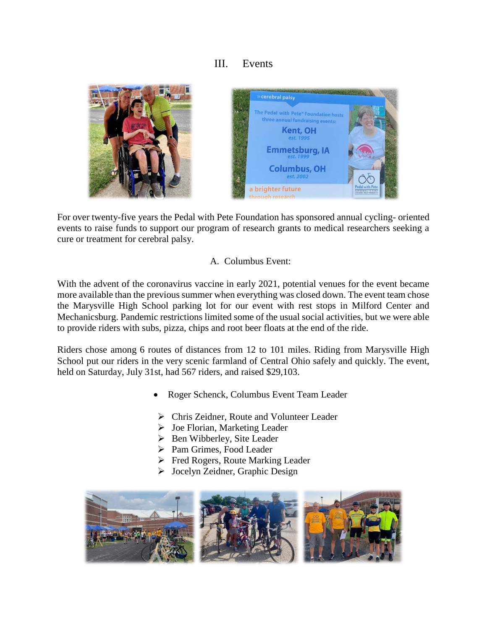## III. Events

<span id="page-3-0"></span>

For over twenty-five years the Pedal with Pete Foundation has sponsored annual cycling- oriented events to raise funds to support our program of research grants to medical researchers seeking a cure or treatment for cerebral palsy.

#### A. Columbus Event:

<span id="page-3-1"></span>With the advent of the coronavirus vaccine in early 2021, potential venues for the event became more available than the previous summer when everything was closed down. The event team chose the Marysville High School parking lot for our event with rest stops in Milford Center and Mechanicsburg. Pandemic restrictions limited some of the usual social activities, but we were able to provide riders with subs, pizza, chips and root beer floats at the end of the ride.

Riders chose among 6 routes of distances from 12 to 101 miles. Riding from Marysville High School put our riders in the very scenic farmland of Central Ohio safely and quickly. The event, held on Saturday, July 31st, had 567 riders, and raised \$29,103.

- Roger Schenck, Columbus Event Team Leader
- Chris Zeidner, Route and Volunteer Leader
- $\triangleright$  Joe Florian, Marketing Leader
- $\triangleright$  Ben Wibberley, Site Leader
- ▶ Pam Grimes, Food Leader
- Fred Rogers, Route Marking Leader
- Jocelyn Zeidner, Graphic Design

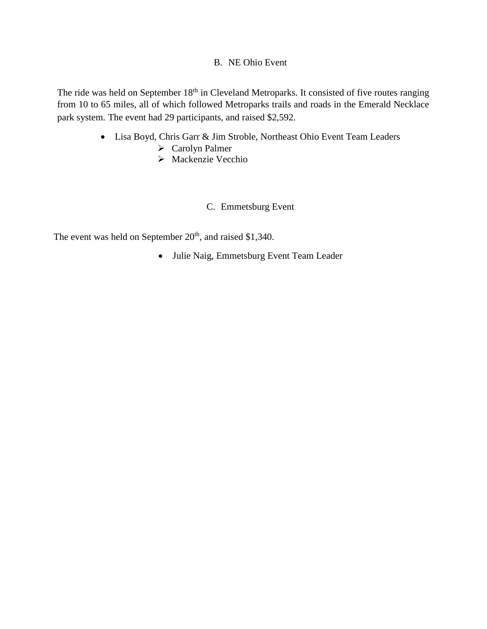#### B. NE Ohio Event

<span id="page-4-0"></span>The ride was held on September 18<sup>th</sup> in Cleveland Metroparks. It consisted of five routes ranging from 10 to 65 miles, all of which followed Metroparks trails and roads in the Emerald Necklace park system. The event had 29 participants, and raised \$2,592.

- Lisa Boyd, Chris Garr & Jim Stroble, Northeast Ohio Event Team Leaders
	- Carolyn Palmer
	- Mackenzie Vecchio
		- C. Emmetsburg Event

<span id="page-4-1"></span>The event was held on September  $20<sup>th</sup>$ , and raised \$1,340.

Julie Naig, Emmetsburg Event Team Leader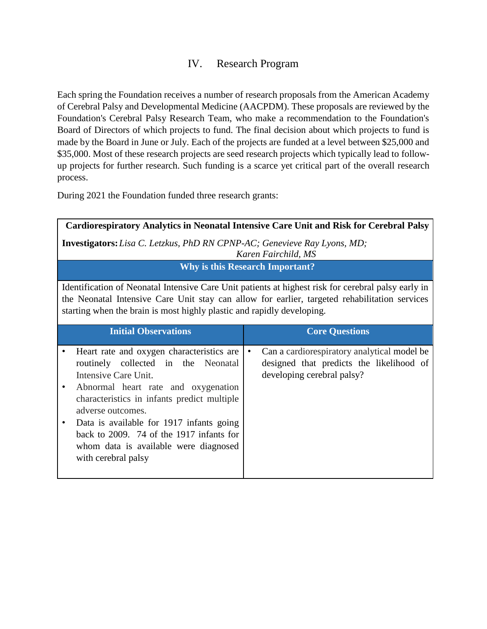#### IV. Research Program

<span id="page-5-0"></span>Each spring the Foundation receives a number of research proposals from the American Academy of Cerebral Palsy and Developmental Medicine (AACPDM). These proposals are reviewed by the Foundation's Cerebral Palsy Research Team, who make a recommendation to the Foundation's Board of Directors of which projects to fund. The final decision about which projects to fund is made by the Board in June or July. Each of the projects are funded at a level between \$25,000 and \$35,000. Most of these research projects are seed research projects which typically lead to followup projects for further research. Such funding is a scarce yet critical part of the overall research process.

During 2021 the Foundation funded three research grants:

|                                                                                                                                                                                                                                                                                | Cardiorespiratory Analytics in Neonatal Intensive Care Unit and Risk for Cerebral Palsy                                                                                                                                                                                                                                                                                     |           |                                                                                                                       |  |  |  |  |
|--------------------------------------------------------------------------------------------------------------------------------------------------------------------------------------------------------------------------------------------------------------------------------|-----------------------------------------------------------------------------------------------------------------------------------------------------------------------------------------------------------------------------------------------------------------------------------------------------------------------------------------------------------------------------|-----------|-----------------------------------------------------------------------------------------------------------------------|--|--|--|--|
|                                                                                                                                                                                                                                                                                | <b>Investigators:</b> Lisa C. Letzkus, PhD RN CPNP-AC; Genevieve Ray Lyons, MD;<br>Karen Fairchild, MS                                                                                                                                                                                                                                                                      |           |                                                                                                                       |  |  |  |  |
|                                                                                                                                                                                                                                                                                | <b>Why is this Research Important?</b>                                                                                                                                                                                                                                                                                                                                      |           |                                                                                                                       |  |  |  |  |
| Identification of Neonatal Intensive Care Unit patients at highest risk for cerebral palsy early in<br>the Neonatal Intensive Care Unit stay can allow for earlier, targeted rehabilitation services<br>starting when the brain is most highly plastic and rapidly developing. |                                                                                                                                                                                                                                                                                                                                                                             |           |                                                                                                                       |  |  |  |  |
|                                                                                                                                                                                                                                                                                | <b>Initial Observations</b>                                                                                                                                                                                                                                                                                                                                                 |           | <b>Core Questions</b>                                                                                                 |  |  |  |  |
|                                                                                                                                                                                                                                                                                | Heart rate and oxygen characteristics are<br>routinely collected in the Neonatal<br>Intensive Care Unit.<br>Abnormal heart rate and oxygenation<br>characteristics in infants predict multiple<br>adverse outcomes.<br>Data is available for 1917 infants going<br>back to 2009. 74 of the 1917 infants for<br>whom data is available were diagnosed<br>with cerebral palsy | $\bullet$ | Can a cardiorespiratory analytical model be<br>designed that predicts the likelihood of<br>developing cerebral palsy? |  |  |  |  |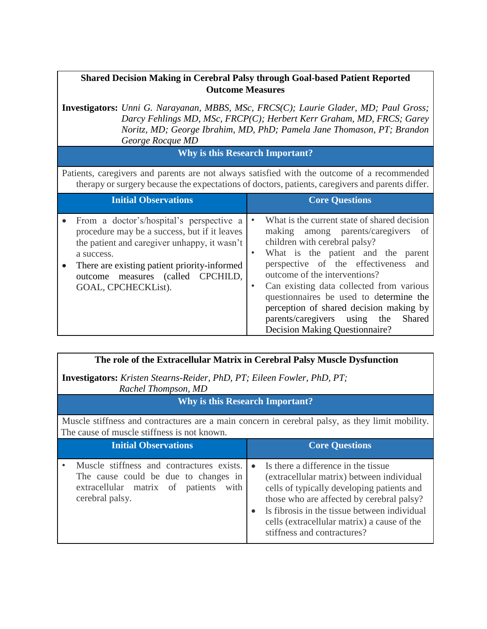#### **Shared Decision Making in Cerebral Palsy through Goal-based Patient Reported Outcome Measures**

**Investigators:** *Unni G. Narayanan, MBBS, MSc, FRCS(C); Laurie Glader, MD; Paul Gross; Darcy Fehlings MD, MSc, FRCP(C); Herbert Kerr Graham, MD, FRCS; Garey Noritz, MD; George Ibrahim, MD, PhD; Pamela Jane Thomason, PT; Brandon George Rocque MD*

#### **Why is this Research Important?**

Patients, caregivers and parents are not always satisfied with the outcome of a recommended therapy or surgery because the expectations of doctors, patients, caregivers and parents differ.

| <b>Initial Observations</b>                                                                                                                                                                                                                                        | <b>Core Questions</b>                                                                                                                                                                                                                                                                                                                                                                                                                                  |
|--------------------------------------------------------------------------------------------------------------------------------------------------------------------------------------------------------------------------------------------------------------------|--------------------------------------------------------------------------------------------------------------------------------------------------------------------------------------------------------------------------------------------------------------------------------------------------------------------------------------------------------------------------------------------------------------------------------------------------------|
| From a doctor's/hospital's perspective a<br>procedure may be a success, but if it leaves<br>the patient and caregiver unhappy, it wasn't<br>a success.<br>There are existing patient priority-informed<br>outcome measures (called CPCHILD,<br>GOAL, CPCHECKList). | What is the current state of shared decision<br>making among parents/caregivers<br>of<br>children with cerebral palsy?<br>What is the patient and the parent<br>perspective of the effectiveness and<br>outcome of the interventions?<br>Can existing data collected from various<br>questionnaires be used to determine the<br>perception of shared decision making by<br>parents/caregivers using<br>Shared<br>the<br>Decision Making Questionnaire? |

| The role of the Extracellular Matrix in Cerebral Palsy Muscle Dysfunction                                                                      |                       |  |  |  |  |
|------------------------------------------------------------------------------------------------------------------------------------------------|-----------------------|--|--|--|--|
| <b>Investigators:</b> Kristen Stearns-Reider, PhD, PT; Eileen Fowler, PhD, PT;<br>Rachel Thompson, MD                                          |                       |  |  |  |  |
| <b>Why is this Research Important?</b>                                                                                                         |                       |  |  |  |  |
| Muscle stiffness and contractures are a main concern in cerebral palsy, as they limit mobility.<br>The cause of muscle stiffness is not known. |                       |  |  |  |  |
|                                                                                                                                                |                       |  |  |  |  |
| <b>Initial Observations</b>                                                                                                                    | <b>Core Questions</b> |  |  |  |  |

stiffness and contractures?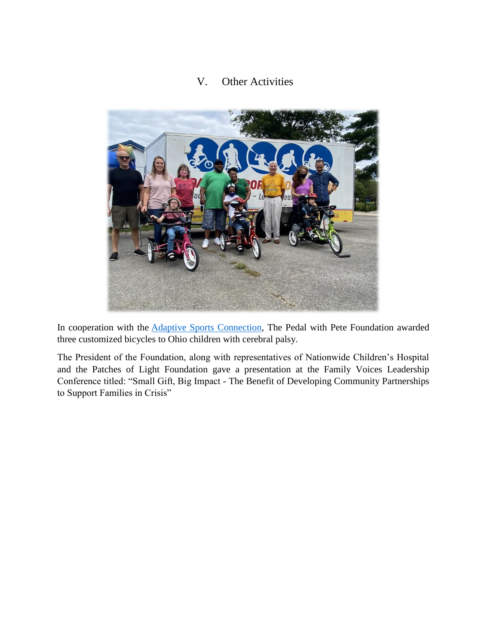#### V. Other Activities

<span id="page-7-0"></span>

In cooperation with the Adaptive Sports [Connection,](https://adaptivesportsconnection.org/) The Pedal with Pete Foundation awarded three customized bicycles to Ohio children with cerebral palsy.

The President of the Foundation, along with representatives of Nationwide Children's Hospital and the Patches of Light Foundation gave a presentation at the Family Voices Leadership Conference titled: "Small Gift, Big Impact - The Benefit of Developing Community Partnerships to Support Families in Crisis"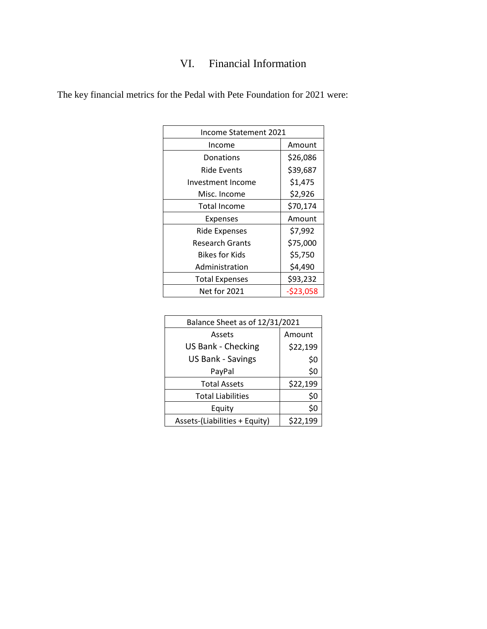# VI. Financial Information

| Income Statement 2021 |            |  |
|-----------------------|------------|--|
| Income                | Amount     |  |
| Donations             | \$26,086   |  |
| Ride Events           | \$39,687   |  |
| Investment Income     | \$1,475    |  |
| Misc. Income          | \$2,926    |  |
| Total Income          | \$70,174   |  |
| Expenses              | Amount     |  |
| <b>Ride Expenses</b>  | \$7,992    |  |
| Research Grants       | \$75,000   |  |
| Bikes for Kids        | \$5,750    |  |
| Administration        | \$4,490    |  |
| <b>Total Expenses</b> | \$93,232   |  |
| <b>Net for 2021</b>   | $-523,058$ |  |
|                       |            |  |

<span id="page-8-0"></span>The key financial metrics for the Pedal with Pete Foundation for 2021 were:

| Balance Sheet as of 12/31/2021 |          |  |
|--------------------------------|----------|--|
| Assets                         | Amount   |  |
| <b>US Bank - Checking</b>      | \$22,199 |  |
| <b>US Bank - Savings</b>       | \$0      |  |
| PayPal                         | \$0      |  |
| <b>Total Assets</b>            | \$22,199 |  |
| <b>Total Liabilities</b>       | \$0      |  |
| Equity                         | \$0      |  |
| Assets-(Liabilities + Equity)  | \$22,199 |  |